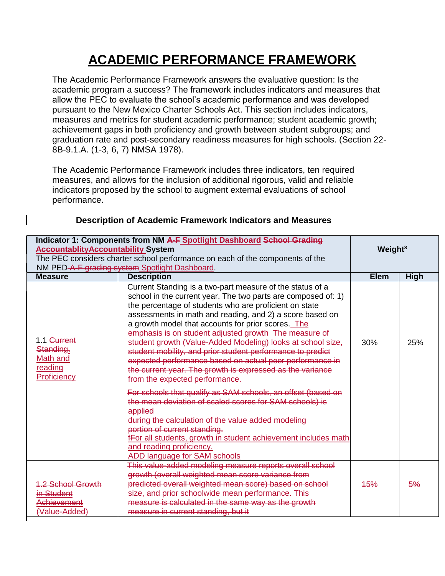## **ACADEMIC PERFORMANCE FRAMEWORK**

The Academic Performance Framework answers the evaluative question: Is the academic program a success? The framework includes indicators and measures that allow the PEC to evaluate the school's academic performance and was developed pursuant to the New Mexico Charter Schools Act. This section includes indicators, measures and metrics for student academic performance; student academic growth; achievement gaps in both proficiency and growth between student subgroups; and graduation rate and post-secondary readiness measures for high schools. (Section 22- 8B-9.1.A. (1-3, 6, 7) NMSA 1978).

The Academic Performance Framework includes three indicators, ten required measures, and allows for the inclusion of additional rigorous, valid and reliable indicators proposed by the school to augment external evaluations of school performance.

| Indicator 1: Components from NM A-F Spotlight Dashboard School Grading        |                                                                                                                                                                                                                                                                                                                                                                                                                                                                                                                                                                                                                                                         |             |                     |  |
|-------------------------------------------------------------------------------|---------------------------------------------------------------------------------------------------------------------------------------------------------------------------------------------------------------------------------------------------------------------------------------------------------------------------------------------------------------------------------------------------------------------------------------------------------------------------------------------------------------------------------------------------------------------------------------------------------------------------------------------------------|-------------|---------------------|--|
| <b>Accountablity Accountability System</b>                                    |                                                                                                                                                                                                                                                                                                                                                                                                                                                                                                                                                                                                                                                         |             | Weight <sup>8</sup> |  |
| The PEC considers charter school performance on each of the components of the |                                                                                                                                                                                                                                                                                                                                                                                                                                                                                                                                                                                                                                                         |             |                     |  |
| NM PED-A-F grading system Spotlight Dashboard.                                |                                                                                                                                                                                                                                                                                                                                                                                                                                                                                                                                                                                                                                                         |             |                     |  |
| <b>Measure</b>                                                                | <b>Description</b>                                                                                                                                                                                                                                                                                                                                                                                                                                                                                                                                                                                                                                      | <b>Elem</b> | <b>High</b>         |  |
| 1.1 Current<br>Standing.<br>Math and<br>reading<br>Proficiency                | Current Standing is a two-part measure of the status of a<br>school in the current year. The two parts are composed of: 1)<br>the percentage of students who are proficient on state<br>assessments in math and reading, and 2) a score based on<br>a growth model that accounts for prior scores. The<br>emphasis is on student adjusted growth The measure of<br>student growth (Value-Added Modeling) looks at school size,<br>student mobility, and prior student performance to predict<br>expected performance based on actual peer performance in<br>the current year. The growth is expressed as the variance<br>from the expected performance. | 30%         | 25%                 |  |
|                                                                               | For schools that qualify as SAM schools, an offset (based on<br>the mean deviation of scaled scores for SAM schools) is<br>applied<br>during the calculation of the value added modeling<br>portion of current standing.<br>fFor all students, growth in student achievement includes math<br>and reading proficiency.<br><b>ADD language for SAM schools</b>                                                                                                                                                                                                                                                                                           |             |                     |  |
| <b>1.2 School Growth</b><br>in Student<br><b>Achievement</b><br>(Value-Added) | This value-added modeling measure reports overall school<br>growth (overall weighted mean score variance from<br>predicted overall weighted mean score) based on school<br>size, and prior schoolwide mean performance. This<br>measure is calculated in the same way as the growth<br>measure in current standing, but it                                                                                                                                                                                                                                                                                                                              | <b>45%</b>  | 5%                  |  |

## **Description of Academic Framework Indicators and Measures**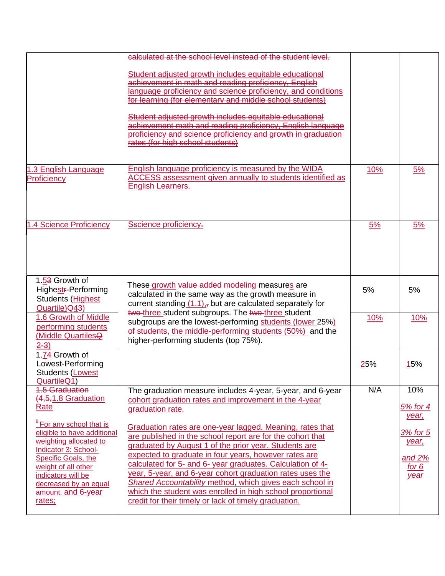|                                                                                                                                                                                                                                                   | calculated at the school level instead of the student level.                                                                                                                                                                                                                                                                                                                                                                                                                                                                                            |            |                                                         |
|---------------------------------------------------------------------------------------------------------------------------------------------------------------------------------------------------------------------------------------------------|---------------------------------------------------------------------------------------------------------------------------------------------------------------------------------------------------------------------------------------------------------------------------------------------------------------------------------------------------------------------------------------------------------------------------------------------------------------------------------------------------------------------------------------------------------|------------|---------------------------------------------------------|
|                                                                                                                                                                                                                                                   | Student adjusted growth includes equitable educational<br>achievement in math and reading proficiency, English<br>language proficiency and science proficiency, and conditions<br>for learning (for elementary and middle school students)                                                                                                                                                                                                                                                                                                              |            |                                                         |
|                                                                                                                                                                                                                                                   | Student adjusted growth includes equitable educational<br>achievement math and reading proficiency. English language<br>proficiency and science proficiency and growth in graduation<br>rates (for high school students)                                                                                                                                                                                                                                                                                                                                |            |                                                         |
| 1.3 English Language<br>Proficiency                                                                                                                                                                                                               | <b>English language proficiency is measured by the WIDA</b><br><b>ACCESS</b> assessment given annually to students identified as<br><b>English Learners.</b>                                                                                                                                                                                                                                                                                                                                                                                            | <u>10%</u> | <u>5%</u>                                               |
| 1.4 Science Proficiency                                                                                                                                                                                                                           | Sscience proficiency-                                                                                                                                                                                                                                                                                                                                                                                                                                                                                                                                   | 5%         | 5%                                                      |
| 1.53 Growth of<br>Highestr-Performing<br>Students (Highest<br>Quartile) Q43)                                                                                                                                                                      | These growth value added modeling measures are<br>calculated in the same way as the growth measure in<br>current standing $(1.1)_{17}$ but are calculated separately for<br>two-three student subgroups. The two-three student                                                                                                                                                                                                                                                                                                                          | 5%         | 5%                                                      |
| 1.6 Growth of Middle<br>performing students<br>(Middle QuartilesQ<br>$2 - 3$                                                                                                                                                                      | subgroups are the lowest-performing students (lower 25%)<br>of students, the middle-performing students (50%) and the<br>higher-performing students (top 75%).                                                                                                                                                                                                                                                                                                                                                                                          | 10%        | <u>10%</u>                                              |
| 1.74 Growth of<br>Lowest-Performing<br>Students (Lowest<br>Quartile <sub>Q4</sub> )                                                                                                                                                               |                                                                                                                                                                                                                                                                                                                                                                                                                                                                                                                                                         | 25%        | <b>15%</b>                                              |
| <b>1.5 Graduation</b><br>$(4,5,1.8$ Graduation<br><b>Rate</b>                                                                                                                                                                                     | The graduation measure includes 4-year, 5-year, and 6-year<br>cohort graduation rates and improvement in the 4-year<br>graduation rate.                                                                                                                                                                                                                                                                                                                                                                                                                 | N/A        | 10%<br><u>5% for 4</u><br>year,                         |
| <sup>8</sup> For any school that is<br>eligible to have additional<br>weighting allocated to<br>Indicator 3: School-<br>Specific Goals, the<br>weight of all other<br>indicators will be<br>decreased by an equal<br>amount. and 6-year<br>rates; | Graduation rates are one-year lagged. Meaning, rates that<br>are published in the school report are for the cohort that<br>graduated by August 1 of the prior year. Students are<br>expected to graduate in four years, however rates are<br>calculated for 5- and 6- year graduates. Calculation of 4-<br>year, 5-year, and 6-year cohort graduation rates uses the<br>Shared Accountability method, which gives each school in<br>which the student was enrolled in high school proportional<br>credit for their timely or lack of timely graduation. |            | <u>3% for 5</u><br>year,<br>and $2%$<br>for $6$<br>year |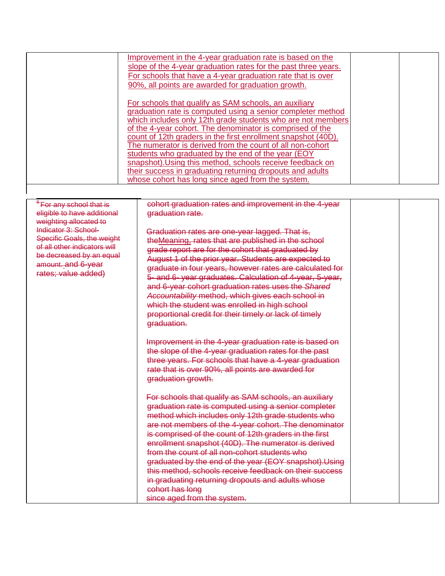<span id="page-2-0"></span>

|                                     | Improvement in the 4-year graduation rate is based on the      |  |
|-------------------------------------|----------------------------------------------------------------|--|
|                                     | slope of the 4-year graduation rates for the past three years. |  |
|                                     | For schools that have a 4-year graduation rate that is over    |  |
|                                     | 90%, all points are awarded for graduation growth.             |  |
|                                     |                                                                |  |
|                                     | For schools that qualify as SAM schools, an auxiliary          |  |
|                                     | graduation rate is computed using a senior completer method    |  |
|                                     | which includes only 12th grade students who are not members    |  |
|                                     | of the 4-year cohort. The denominator is comprised of the      |  |
|                                     | count of 12th graders in the first enrollment snapshot (40D).  |  |
|                                     | The numerator is derived from the count of all non-cohort      |  |
|                                     | students who graduated by the end of the year (EOY             |  |
|                                     | snapshot). Using this method, schools receive feedback on      |  |
|                                     | their success in graduating returning dropouts and adults      |  |
|                                     | whose cohort has long since aged from the system.              |  |
|                                     |                                                                |  |
|                                     |                                                                |  |
| <sup>8</sup> For any school that is | cohort graduation rates and improvement in the 4-year          |  |
| eligible to have additional         | graduation rate.                                               |  |
| weighting allocated to              |                                                                |  |
| Indicator 3: School-                | Graduation rates are one-year lagged. That is,                 |  |
| <b>Specific Goals, the weight</b>   | the Meaning, rates that are published in the school            |  |
| of all other indicators will        | grade report are for the cohort that graduated by              |  |
| be decreased by an equal            | August 1 of the prior year. Students are expected to           |  |
| amount. and 6-year                  | graduate in four years, however rates are calculated for       |  |
| rates; value added)                 | 5- and 6- year graduates. Calculation of 4-year, 5-year,       |  |
|                                     | and 6-year cohort graduation rates uses the Shared             |  |
|                                     | Accountability method, which gives each school in              |  |
|                                     | which the student was enrolled in high school                  |  |
|                                     |                                                                |  |
|                                     | proportional credit for their timely or lack of timely         |  |
|                                     | graduation.                                                    |  |
|                                     |                                                                |  |
|                                     | Improvement in the 4-year graduation rate is based on          |  |
|                                     | the slope of the 4-year graduation rates for the past          |  |
|                                     | three years. For schools that have a 4-year graduation         |  |
|                                     | rate that is over 90%, all points are awarded for              |  |
|                                     | graduation growth.                                             |  |
|                                     |                                                                |  |
|                                     | For schools that qualify as SAM schools, an auxiliary          |  |
|                                     | graduation rate is computed using a senior completer           |  |
|                                     | method which includes only 12th grade students who             |  |
|                                     | are not members of the 4-year cohort. The denominator          |  |
|                                     | is comprised of the count of 12th graders in the first         |  |
|                                     | enrollment snapshot (40D). The numerator is derived            |  |
|                                     | from the count of all non-cohort students who                  |  |
|                                     | graduated by the end of the year (EOY snapshot). Using         |  |
|                                     | this method, schools receive feedback on their success         |  |
|                                     |                                                                |  |
|                                     | in graduating returning dropouts and adults whose              |  |
|                                     | cohort has long                                                |  |
|                                     | since aged from the system.                                    |  |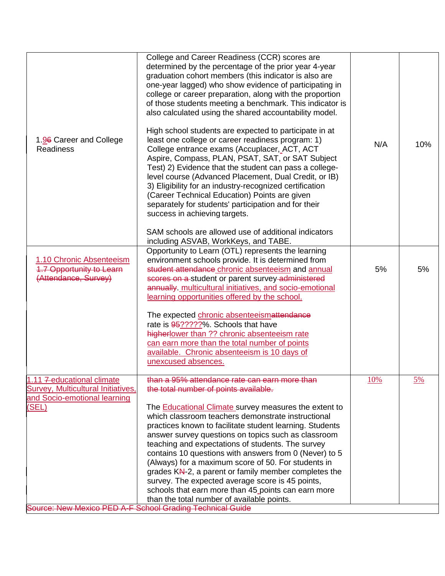| determined by the percentage of the prior year 4-year<br>graduation cohort members (this indicator is also are<br>one-year lagged) who show evidence of participating in<br>college or career preparation, along with the proportion<br>of those students meeting a benchmark. This indicator is<br>also calculated using the shared accountability model.<br>High school students are expected to participate in at<br>least one college or career readiness program: 1)<br>College entrance exams (Accuplacer, ACT, ACT<br>Aspire, Compass, PLAN, PSAT, SAT, or SAT Subject<br>Test) 2) Evidence that the student can pass a college-<br>level course (Advanced Placement, Dual Credit, or IB)<br>3) Eligibility for an industry-recognized certification<br>(Career Technical Education) Points are given<br>separately for students' participation and for their<br>success in achieving targets. | N/A                                                                                                                                                                                                                                                  | 10%       |
|-------------------------------------------------------------------------------------------------------------------------------------------------------------------------------------------------------------------------------------------------------------------------------------------------------------------------------------------------------------------------------------------------------------------------------------------------------------------------------------------------------------------------------------------------------------------------------------------------------------------------------------------------------------------------------------------------------------------------------------------------------------------------------------------------------------------------------------------------------------------------------------------------------|------------------------------------------------------------------------------------------------------------------------------------------------------------------------------------------------------------------------------------------------------|-----------|
|                                                                                                                                                                                                                                                                                                                                                                                                                                                                                                                                                                                                                                                                                                                                                                                                                                                                                                       |                                                                                                                                                                                                                                                      |           |
| Opportunity to Learn (OTL) represents the learning<br>environment schools provide. It is determined from<br>student attendance chronic absenteeism and annual<br>scores on a student or parent survey administered<br>annually. multicultural initiatives, and socio-emotional<br>learning opportunities offered by the school.                                                                                                                                                                                                                                                                                                                                                                                                                                                                                                                                                                       | 5%                                                                                                                                                                                                                                                   | 5%        |
| The expected chronic absenteeismattendance<br>rate is 95?????%. Schools that have<br>higherlower than ?? chronic absenteeism rate<br>can earn more than the total number of points<br>available. Chronic absenteeism is 10 days of<br>unexcused absences.                                                                                                                                                                                                                                                                                                                                                                                                                                                                                                                                                                                                                                             |                                                                                                                                                                                                                                                      |           |
| than a 95% attendance rate can earn more than<br>the total number of points available.                                                                                                                                                                                                                                                                                                                                                                                                                                                                                                                                                                                                                                                                                                                                                                                                                | <u>10%</u>                                                                                                                                                                                                                                           | <u>5%</u> |
| The <b>Educational Climate</b> survey measures the extent to<br>which classroom teachers demonstrate instructional<br>practices known to facilitate student learning. Students<br>answer survey questions on topics such as classroom<br>teaching and expectations of students. The survey<br>contains 10 questions with answers from 0 (Never) to 5<br>(Always) for a maximum score of 50. For students in<br>grades KN-2, a parent or family member completes the<br>survey. The expected average score is 45 points,<br>schools that earn more than 45 points can earn more                                                                                                                                                                                                                                                                                                                        |                                                                                                                                                                                                                                                      |           |
|                                                                                                                                                                                                                                                                                                                                                                                                                                                                                                                                                                                                                                                                                                                                                                                                                                                                                                       | SAM schools are allowed use of additional indicators<br>including ASVAB, WorkKeys, and TABE.<br><b>Survey, Multicultural Initiatives,</b><br>than the total number of available points.<br>Source: New Mexico PED A-F School Grading Technical Guide |           |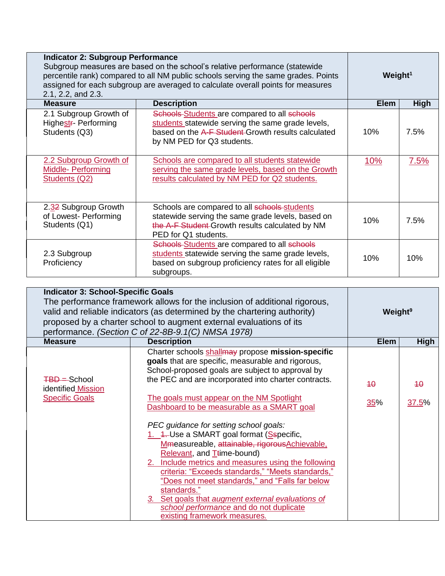| <b>Indicator 2: Subgroup Performance</b><br>Subgroup measures are based on the school's relative performance (statewide<br>percentile rank) compared to all NM public schools serving the same grades. Points<br>assigned for each subgroup are averaged to calculate overall points for measures<br>2.1, 2.2, and 2.3. |                                                                                                                                                                                                                                         |                   | Weight <sup>1</sup> |
|-------------------------------------------------------------------------------------------------------------------------------------------------------------------------------------------------------------------------------------------------------------------------------------------------------------------------|-----------------------------------------------------------------------------------------------------------------------------------------------------------------------------------------------------------------------------------------|-------------------|---------------------|
| <b>Measure</b>                                                                                                                                                                                                                                                                                                          | <b>Description</b>                                                                                                                                                                                                                      | <b>Elem</b>       | High                |
| 2.1 Subgroup Growth of<br>Highestr- Performing<br>Students (Q3)<br>2.2 Subgroup Growth of                                                                                                                                                                                                                               | Schools Students are compared to all schools<br>students statewide serving the same grade levels,<br>based on the A-F Student-Growth results calculated<br>by NM PED for Q3 students.<br>Schools are compared to all students statewide | 10%<br><u>10%</u> | 7.5%<br>7.5%        |
| Middle- Performing<br>Students (Q2)                                                                                                                                                                                                                                                                                     | serving the same grade levels, based on the Growth<br>results calculated by NM PED for Q2 students.                                                                                                                                     |                   |                     |
| 2.32 Subgroup Growth<br>of Lowest- Performing<br>Students (Q1)                                                                                                                                                                                                                                                          | Schools are compared to all schools students<br>statewide serving the same grade levels, based on<br>the A-F Student Growth results calculated by NM<br>PED for Q1 students.                                                            | 10%               | 7.5%                |
| 2.3 Subgroup<br>Proficiency                                                                                                                                                                                                                                                                                             | Schools Students are compared to all schools<br>students statewide serving the same grade levels,<br>based on subgroup proficiency rates for all eligible<br>subgroups.                                                                 | 10%               | 10%                 |

| <b>Indicator 3: School-Specific Goals</b><br>The performance framework allows for the inclusion of additional rigorous,<br>valid and reliable indicators (as determined by the chartering authority)<br>proposed by a charter school to augment external evaluations of its<br>performance. (Section C of 22-8B-9.1(C) NMSA 1978) |                                                                                                                                                                                                                                                                                                                                                                                                                                                                                               |             | Weight <sup>9</sup> |
|-----------------------------------------------------------------------------------------------------------------------------------------------------------------------------------------------------------------------------------------------------------------------------------------------------------------------------------|-----------------------------------------------------------------------------------------------------------------------------------------------------------------------------------------------------------------------------------------------------------------------------------------------------------------------------------------------------------------------------------------------------------------------------------------------------------------------------------------------|-------------|---------------------|
| <b>Measure</b>                                                                                                                                                                                                                                                                                                                    | <b>Description</b>                                                                                                                                                                                                                                                                                                                                                                                                                                                                            | <b>Elem</b> | <b>High</b>         |
| <b>TBD</b> = School<br>identified Mission                                                                                                                                                                                                                                                                                         | Charter schools shallmay propose mission-specific<br>goals that are specific, measurable and rigorous,<br>School-proposed goals are subject to approval by<br>the PEC and are incorporated into charter contracts.                                                                                                                                                                                                                                                                            | 40          | $40^{\circ}$        |
| <b>Specific Goals</b>                                                                                                                                                                                                                                                                                                             | The goals must appear on the NM Spotlight<br>Dashboard to be measurable as a SMART goal                                                                                                                                                                                                                                                                                                                                                                                                       | 35%         | 37.5%               |
|                                                                                                                                                                                                                                                                                                                                   | PEC guidance for setting school goals:<br>1. 4. Use a SMART goal format (Sspecific,<br>Mmeasureable, attainable, rigorousAchievable,<br>Relevant, and T <sub>ti</sub> me-bound)<br>2. Include metrics and measures using the following<br>criteria: "Exceeds standards," "Meets standards,"<br>"Does not meet standards," and "Falls far below<br>standards."<br>3. Set goals that augment external evaluations of<br>school performance and do not duplicate<br>existing framework measures. |             |                     |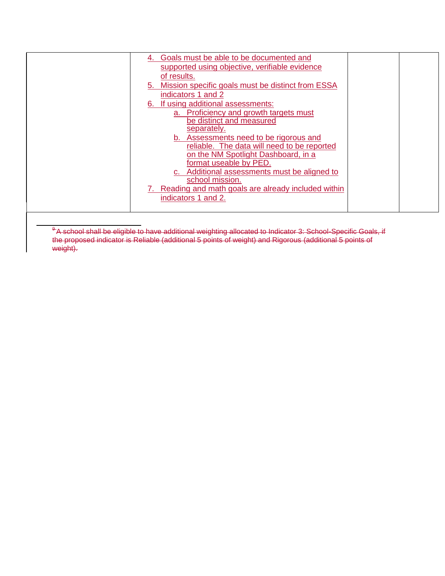| Goals must be able to be documented and<br>4.<br>supported using objective, verifiable evidence<br>of results.<br>Mission specific goals must be distinct from ESSA<br>5.<br>indicators 1 and 2<br>6. If using additional assessments:<br>a. Proficiency and growth targets must<br>be distinct and measured<br>separately.<br>b. Assessments need to be rigorous and<br>reliable. The data will need to be reported<br>on the NM Spotlight Dashboard, in a<br>format useable by PED.<br>c. Additional assessments must be aligned to<br>school mission.<br>7. Reading and math goals are already included within<br>indicators 1 and 2. |  |  |
|------------------------------------------------------------------------------------------------------------------------------------------------------------------------------------------------------------------------------------------------------------------------------------------------------------------------------------------------------------------------------------------------------------------------------------------------------------------------------------------------------------------------------------------------------------------------------------------------------------------------------------------|--|--|
|                                                                                                                                                                                                                                                                                                                                                                                                                                                                                                                                                                                                                                          |  |  |
|                                                                                                                                                                                                                                                                                                                                                                                                                                                                                                                                                                                                                                          |  |  |
|                                                                                                                                                                                                                                                                                                                                                                                                                                                                                                                                                                                                                                          |  |  |
|                                                                                                                                                                                                                                                                                                                                                                                                                                                                                                                                                                                                                                          |  |  |
|                                                                                                                                                                                                                                                                                                                                                                                                                                                                                                                                                                                                                                          |  |  |
|                                                                                                                                                                                                                                                                                                                                                                                                                                                                                                                                                                                                                                          |  |  |
|                                                                                                                                                                                                                                                                                                                                                                                                                                                                                                                                                                                                                                          |  |  |
|                                                                                                                                                                                                                                                                                                                                                                                                                                                                                                                                                                                                                                          |  |  |
|                                                                                                                                                                                                                                                                                                                                                                                                                                                                                                                                                                                                                                          |  |  |
|                                                                                                                                                                                                                                                                                                                                                                                                                                                                                                                                                                                                                                          |  |  |
|                                                                                                                                                                                                                                                                                                                                                                                                                                                                                                                                                                                                                                          |  |  |

<span id="page-5-0"></span> $^9$ A school shall be eligible to have additional weighting allocated to Indicator 3: School-Specific Goals, if the proposed indicator is Reliable (additional 5 points of weight) and Rigorous (additional 5 points of weight).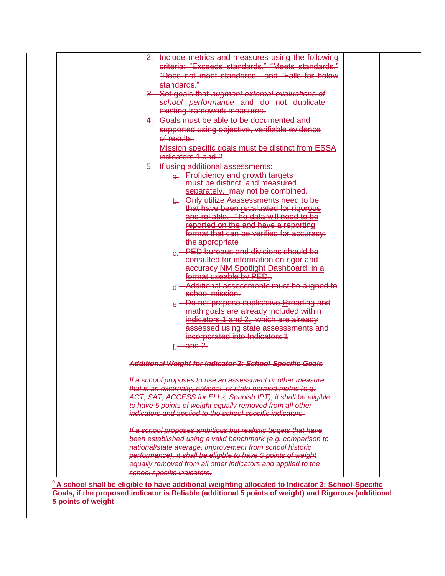| 2. Include metrics and measures using the following            |  |
|----------------------------------------------------------------|--|
| criteria: "Exceeds standards," "Meets standards,"              |  |
| "Does not meet standards," and "Falls far below                |  |
| standards."                                                    |  |
| 3. Set goals that augment external evaluations of              |  |
| school performance and do not duplicate                        |  |
| existing framework measures.                                   |  |
| 4. Goals must be able to be documented and                     |  |
| supported using objective, verifiable evidence                 |  |
| of results.                                                    |  |
| Mission specific goals must be distinct from ESSA              |  |
| indicators 1 and 2                                             |  |
| 5. If using additional assessments:                            |  |
| a. Proficiency and growth targets                              |  |
| must be distinct, and measured                                 |  |
| separately. may not be combined.                               |  |
| b. Only utilize Aassessments need to be                        |  |
| that have been revaluated for rigorous                         |  |
| and reliable. The data will need to be                         |  |
| reported on the and have a reporting                           |  |
| format that can be verified for accuracy;                      |  |
| the appropriate                                                |  |
| e <sup>-</sup> PED bureaus and divisions should be             |  |
| consulted for information on rigor and                         |  |
| accuracy NM Spotlight Dashboard, in a<br>format useable by PED |  |
| d. Additional assessments must be aligned to                   |  |
| school mission.                                                |  |
| e. Do not propose duplicative Rreading and                     |  |
| math goals are already included within                         |  |
| indicators 1 and 2., which are already                         |  |
| assessed using state assesssments and                          |  |
| incorporated into Indicators 1                                 |  |
| $f -$ and 2.                                                   |  |
| Additional Weight for Indicator 3: School-Specific Goals       |  |
| If a school proposes to use an assessment or other measure     |  |
| that is an externally, national- or state-normed metric (e.g.  |  |
| ACT, SAT, ACCESS for ELLs, Spanish IPT), it shall be eligible  |  |
| to have 5 points of weight equally removed from all other      |  |
| indicators and applied to the school specific indicators.      |  |
| If a school proposes ambitious but realistic targets that have |  |
| been established using a valid benchmark (e.g. comparison to   |  |
| national/state average, improvement from school historic       |  |
| performance), it shall be eligible to have 5 points of weight  |  |
| equally removed from all other indicators and applied to the   |  |
| school specific indicators.                                    |  |

**<sup>9</sup>A school shall be eligible to have additional weighting allocated to Indicator 3: School-Specific Goals, if the proposed indicator is Reliable (additional 5 points of weight) and Rigorous (additional 5 points of weight**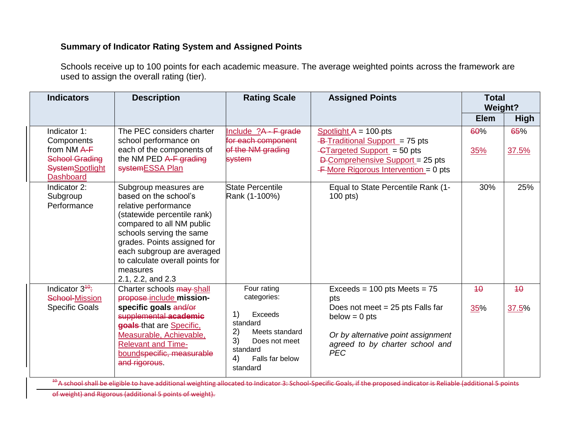## **Summary of Indicator Rating System and Assigned Points**

Schools receive up to 100 points for each academic measure. The average weighted points across the framework are used to assign the overall rating (tier).

| <b>Indicators</b>                                                                                                  | <b>Description</b>                                                                                                                                                                                                                                                                              | <b>Rating Scale</b>                                                                                                                                     | <b>Assigned Points</b>                                                                                                                                                                 | <b>Total</b><br><b>Weight?</b> |              |
|--------------------------------------------------------------------------------------------------------------------|-------------------------------------------------------------------------------------------------------------------------------------------------------------------------------------------------------------------------------------------------------------------------------------------------|---------------------------------------------------------------------------------------------------------------------------------------------------------|----------------------------------------------------------------------------------------------------------------------------------------------------------------------------------------|--------------------------------|--------------|
|                                                                                                                    |                                                                                                                                                                                                                                                                                                 |                                                                                                                                                         |                                                                                                                                                                                        | <b>Elem</b>                    | <b>High</b>  |
| Indicator 1:<br>Components<br>from $NM$ A-F<br><b>School Grading</b><br><b>SystemSpotlight</b><br><b>Dashboard</b> | The PEC considers charter<br>school performance on<br>each of the components of<br>the NM PED A-F grading<br>systemESSA Plan                                                                                                                                                                    | Include $?A - F$ grade<br>for each component<br>of the NM grading<br><b>system</b>                                                                      | Spotlight $A = 100$ -pts<br>-B-Traditional Support = 75 pts<br>$\frac{1}{2}$ -GTargeted Support = 50 pts<br>D-Comprehensive Support = 25 pts<br>$+$ More Rigorous Intervention = 0 pts | 60%<br>35%                     | 65%<br>37.5% |
| Indicator 2:<br>Subgroup<br>Performance                                                                            | Subgroup measures are<br>based on the school's<br>relative performance<br>(statewide percentile rank)<br>compared to all NM public<br>schools serving the same<br>grades. Points assigned for<br>each subgroup are averaged<br>to calculate overall points for<br>measures<br>2.1, 2.2, and 2.3 | <b>State Percentile</b><br>Rank (1-100%)                                                                                                                | Equal to State Percentile Rank (1-<br>$100$ pts)                                                                                                                                       | 30%                            | 25%          |
| Indicator $3^{40}$ :<br>School-Mission<br><b>Specific Goals</b>                                                    | Charter schools may shall<br>propose include mission-<br>specific goals and/or<br>supplemental academic<br>goals-that are Specific.<br>Measurable, Achievable,<br><b>Relevant and Time-</b><br>boundspecific, measurable<br>and rigorous.                                                       | Four rating<br>categories:<br>Exceeds<br>1)<br>standard<br>2)<br>Meets standard<br>3)<br>Does not meet<br>standard<br>4)<br>Falls far below<br>standard | $Exceeds = 100 pts$ Meets = 75<br>pts<br>Does not meet $= 25$ pts Falls far<br>$below = 0 pts$<br>Or by alternative point assignment<br>agreed to by charter school and<br><b>PEC</b>  | 40<br>35%                      | 40<br>37.5%  |

<sup>40</sup>A school shall be eligible to have additional weighting allocated to Indicator 3: School-Specific Goals, if the proposed indicator is Reliable (additional 5 points

of weight) and Rigorous (additional 5 points of weight).